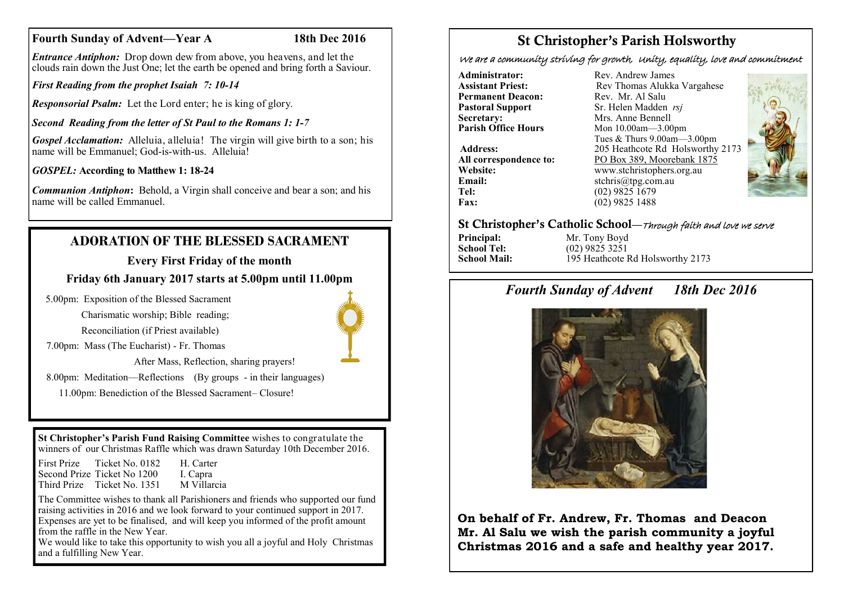# **Fourth Sunday of Advent—Year A 18th Dec 2016**

*Entrance Antiphon:* Drop down dew from above, you heavens, and let the clouds rain down the Just One; let the earth be opened and bring forth a Saviour.

*First Reading from the prophet Isaiah 7: 10-14*

*Responsorial Psalm:* Let the Lord enter; he is king of glory.

*Second Reading from the letter of St Paul to the Romans 1: 1-7*

*Gospel Acclamation:* Alleluia, alleluia! The virgin will give birth to a son; his name will be Emmanuel: God-is-with-us. Alleluia!

*GOSPEL:* **According to Matthew 1: 18-24**

*Communion Antiphon***:** Behold, a Virgin shall conceive and bear a son; and his name will be called Emmanuel.

# **ADORATION OF THE BLESSED SACRAMENT**

# **Every First Friday of the month**

**Friday 6th January 2017 starts at 5.00pm until 11.00pm**

5.00pm: Exposition of the Blessed Sacrament

Charismatic worship; Bible reading;

Reconciliation (if Priest available)

7.00pm: Mass (The Eucharist) - Fr. Thomas

After Mass, Reflection, sharing prayers!

8.00pm: Meditation—Reflections (By groups - in their languages)

11.00pm: Benediction of the Blessed Sacrament– Closure!

**St Christopher's Parish Fund Raising Committee** wishes to congratulate the winners of our Christmas Raffle which was drawn Saturday 10th December 2016.

First Prize Ticket No. 0182 H. Carter Second Prize Ticket No 1200 I. Capra Third Prize Ticket No. 1351 M Villarcia

The Committee wishes to thank all Parishioners and friends who supported our fund raising activities in 2016 and we look forward to your continued support in 2017. Expenses are yet to be finalised, and will keep you informed of the profit amount from the raffle in the New Year.

We would like to take this opportunity to wish you all a joyful and Holy Christmas and a fulfilling New Year.

# St Christopher's Parish Holsworthy

We are a community striving for growth, Unity, equality, love and commitment

**Administrator:** Rev. Andrew James<br> **Assistant Priest:** Rev. Thomas Alukka **Permanent Deacon:** Rev. Mr. Al Salu<br> **Pastoral Support** Sr. Helen Madden **Secretary:** Mrs. Anne Bennell<br> **Parish Office Hours** Mon 10.00am 3.00

**Email:** stchris@tpg.com.au<br> **Tel:** (02) 9825 1679 Tel: (02) 9825 1679<br>Fax: (02) 9825 1488

**Assistant Priest: Rev Thomas Alukka Vargahese**<br>**Permanent Deacon: Rev** Mr Al Salu **Pastoral Support** Sr. Helen Madden *rsj*<br>
Secretary: Mrs. Anne Bennell **Parish Office Hours** Mon 10.00am—3.00pm Tues & Thurs 9.00am—3.00pm **Address:** 205 Heathcote Rd Holsworthy 2173 **All correspondence to:** PO Box 389, Moorebank 1875<br>Website: www.stchristophers.org.au **Website:** www.stchristophers.org.au<br> **Email:** stchris@tng.com au **Fax:** (02) 9825 1488



## St Christopher's Catholic School—Through faith and love we serve

**Principal:** Mr. Tony Boyd<br> **School Tel:** (02) 9825 3251 **School Tel:** (02) 9825 3251<br>**School Mail:** (195 Heathcote **I School Mail:** 195 Heathcote Rd Holsworthy 2173

# *Fourth Sunday of Advent 18th Dec 2016*



**On behalf of Fr. Andrew, Fr. Thomas and Deacon Mr. Al Salu we wish the parish community a joyful Christmas 2016 and a safe and healthy year 2017.**